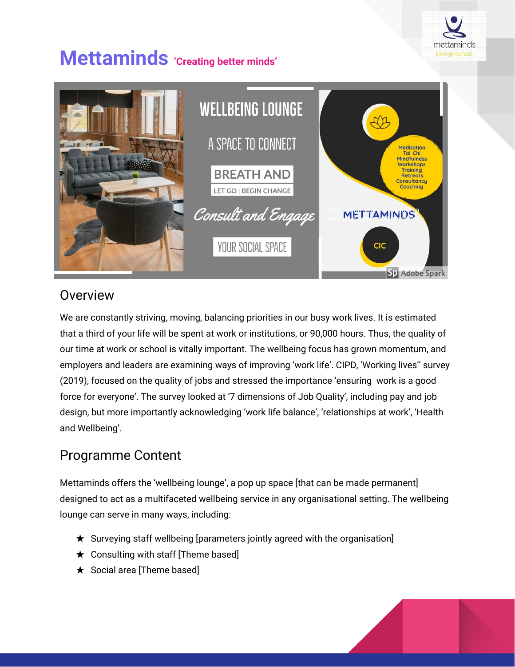

# **Mettaminds 'Creating better minds'**



### **Overview**

We are constantly striving, moving, balancing priorities in our busy work lives. It is estimated that a third of your life will be spent at work or institutions, or 90,000 hours. Thus, the quality of our time at work or school is vitally important. The wellbeing focus has grown momentum, and employers and leaders are examining ways of improving 'work life'. CIPD, 'Working lives'' survey (2019), focused on the quality of jobs and stressed the importance 'ensuring work is a good force for everyone'. The survey looked at '7 dimensions of Job Quality', including pay and job design, but more importantly acknowledging 'work life balance', 'relationships at work', 'Health and Wellbeing'.

## Programme Content

Mettaminds offers the 'wellbeing lounge', a pop up space [that can be made permanent] designed to act as a multifaceted wellbeing service in any organisational setting. The wellbeing lounge can serve in many ways, including:

- $\star$  Surveying staff wellbeing [parameters jointly agreed with the organisation]
- $\star$  Consulting with staff [Theme based]
- ★ Social area [Theme based]